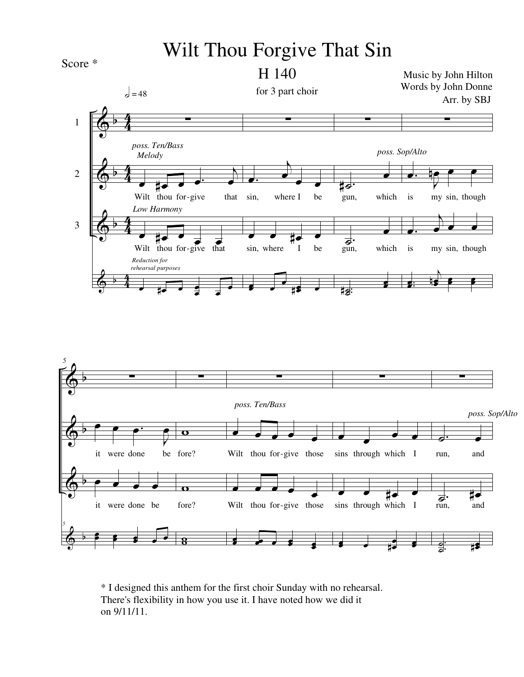## Wilt Thou Forgive That Sin



## H 140

 $\Phi$  $\bm{\phi}$  $\bm{\phi}$  $\Phi$ b b b b 4 4  $\frac{4}{4}$ 4  $\frac{4}{4}$ 4  $\frac{4}{4}$ 4 1 2 3 ∑ œ #œ œ œ.  $\overline{A}$ œ Wilt thou for-give that œ #œ œ  $\overrightarrow{H}$   $\overrightarrow{C}$   $\overrightarrow{C}$ <br>Wilt thou for-give that  $\frac{1}{\sqrt{2}}$  $\frac{1}{\epsilon}$  . œ  $\epsilon = 48$ *Melody Low Harmony Reduction for rehearsal purposes poss. Ten/Bass* ∑ **J**.  $\overline{A}$ œ  $\overline{\cdot}$ sin, where I be œ œ #œ œ sin, where I be  $\overline{\phantom{a}}$ œ œ  $\frac{1}{\bullet}$ ∑  $\sharp \overline{\mathcal{L}}$ <sup>.</sup><br>gun, œ which  $\overrightarrow{d}$ :<br>gun, œ which . ˙ ˙. # œ œ *poss. Sop/Alto* ∑ œ. J  $\frac{1}{2}$ e e is my sin, though **.**  $\overline{A}$  $\frac{1}{\sqrt{2}}$ is my sin, though . . œ œ  $\overline{A}$ œ œ 19 p œ œ œ Music by John Hilton Words by John Donne Arr. by SBJ for 3 part choir



\* I designed this anthem for the first choir Sunday with no rehearsal. There's flexibility in how you use it. I have noted how we did it on 9/11/11.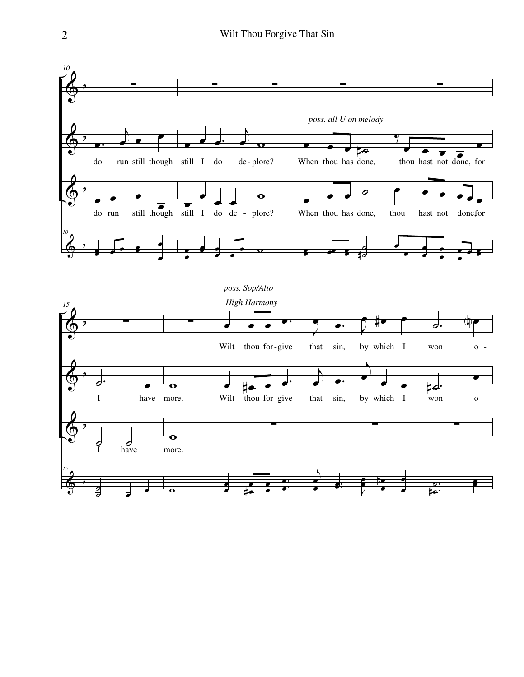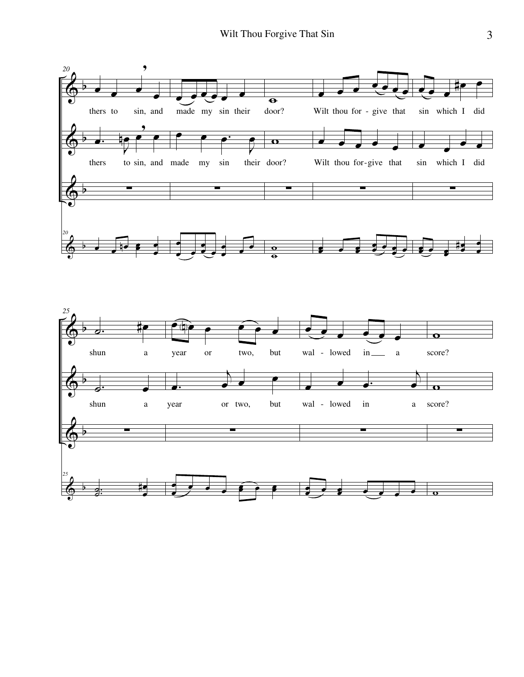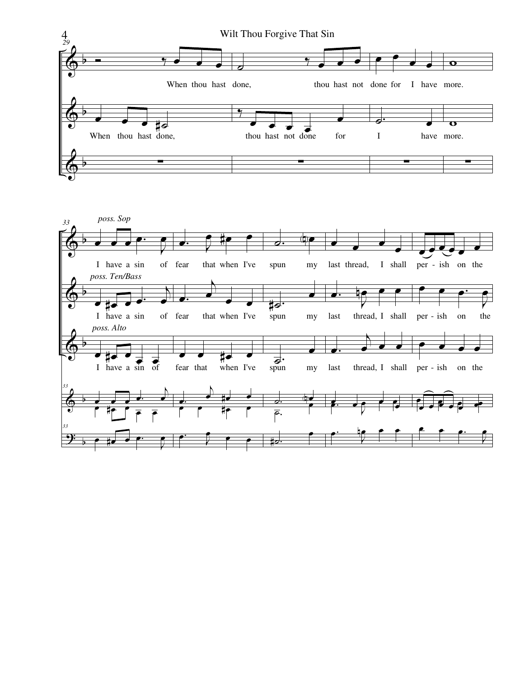